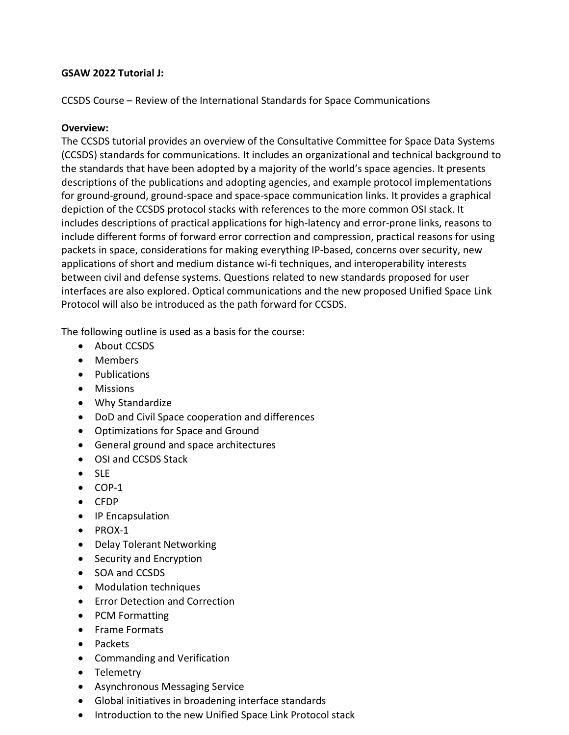### **GSAW 2022 Tutorial J:**

CCSDS Course – Review of the International Standards for Space Communications

## **Overview:**

The CCSDS tutorial provides an overview of the Consultative Committee for Space Data Systems (CCSDS) standards for communications. It includes an organizational and technical background to the standards that have been adopted by a majority of the world's space agencies. It presents descriptions of the publications and adopting agencies, and example protocol implementations for ground-ground, ground-space and space-space communication links. It provides a graphical depiction of the CCSDS protocol stacks with references to the more common OSI stack. It includes descriptions of practical applications for high-latency and error-prone links, reasons to include different forms of forward error correction and compression, practical reasons for using packets in space, considerations for making everything IP-based, concerns over security, new applications of short and medium distance wi-fi techniques, and interoperability interests between civil and defense systems. Questions related to new standards proposed for user interfaces are also explored. Optical communications and the new proposed Unified Space Link Protocol will also be introduced as the path forward for CCSDS.

The following outline is used as a basis for the course:

- About CCSDS
- Members
- Publications
- Missions
- Why Standardize
- DoD and Civil Space cooperation and differences
- Optimizations for Space and Ground
- General ground and space architectures
- OSI and CCSDS Stack
- SLE
- $\bullet$  COP-1
- CFDP
- IP Encapsulation
- PROX-1
- Delay Tolerant Networking
- Security and Encryption
- SOA and CCSDS
- Modulation techniques
- Error Detection and Correction
- PCM Formatting
- Frame Formats
- Packets
- Commanding and Verification
- Telemetry
- Asynchronous Messaging Service
- Global initiatives in broadening interface standards
- Introduction to the new Unified Space Link Protocol stack